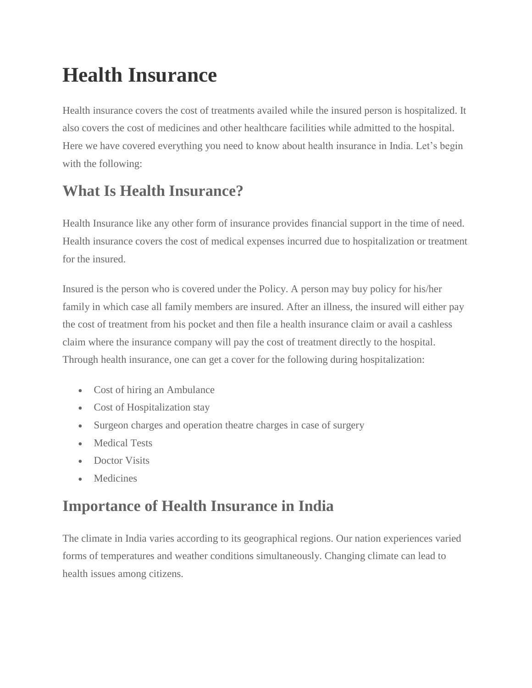# **Health Insurance**

Health insurance covers the cost of treatments availed while the insured person is hospitalized. It also covers the cost of medicines and other healthcare facilities while admitted to the hospital. Here we have covered everything you need to know about health insurance in India. Let's begin with the following:

# **What Is Health Insurance?**

Health Insurance like any other form of insurance provides financial support in the time of need. Health insurance covers the cost of medical expenses incurred due to hospitalization or treatment for the insured.

Insured is the person who is covered under the Policy. A person may buy policy for his/her family in which case all family members are insured. After an illness, the insured will either pay the cost of treatment from his pocket and then file a health insurance claim or avail a cashless claim where the insurance company will pay the cost of treatment directly to the hospital. Through health insurance, one can get a cover for the following during hospitalization:

- Cost of hiring an Ambulance
- Cost of Hospitalization stay
- Surgeon charges and operation theatre charges in case of surgery
- Medical Tests
- Doctor Visits
- Medicines

# **Importance of Health Insurance in India**

The climate in India varies according to its geographical regions. Our nation experiences varied forms of temperatures and weather conditions simultaneously. Changing climate can lead to health issues among citizens.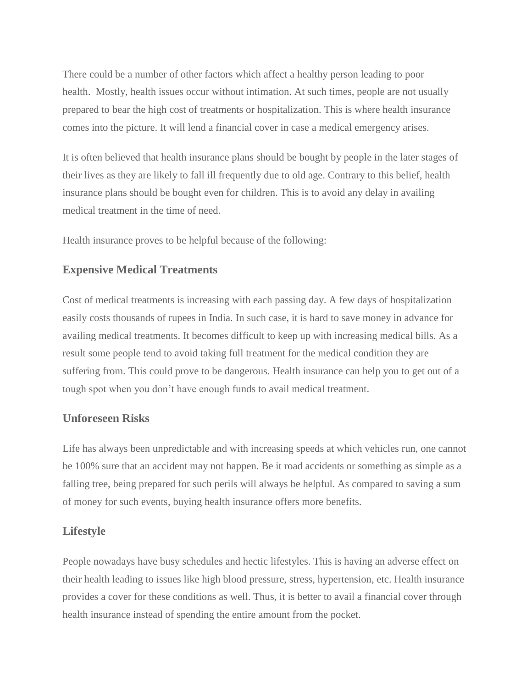There could be a number of other factors which affect a healthy person leading to poor health. Mostly, health issues occur without intimation. At such times, people are not usually prepared to bear the high cost of treatments or hospitalization. This is where health insurance comes into the picture. It will lend a financial cover in case a medical emergency arises.

It is often believed that health insurance plans should be bought by people in the later stages of their lives as they are likely to fall ill frequently due to old age. Contrary to this belief, health insurance plans should be bought even for children. This is to avoid any delay in availing medical treatment in the time of need.

Health insurance proves to be helpful because of the following:

#### **Expensive Medical Treatments**

Cost of medical treatments is increasing with each passing day. A few days of hospitalization easily costs thousands of rupees in India. In such case, it is hard to save money in advance for availing medical treatments. It becomes difficult to keep up with increasing medical bills. As a result some people tend to avoid taking full treatment for the medical condition they are suffering from. This could prove to be dangerous. Health insurance can help you to get out of a tough spot when you don't have enough funds to avail medical treatment.

#### **Unforeseen Risks**

Life has always been unpredictable and with increasing speeds at which vehicles run, one cannot be 100% sure that an accident may not happen. Be it road accidents or something as simple as a falling tree, being prepared for such perils will always be helpful. As compared to saving a sum of money for such events, buying health insurance offers more benefits.

#### **Lifestyle**

People nowadays have busy schedules and hectic lifestyles. This is having an adverse effect on their health leading to issues like high blood pressure, stress, hypertension, etc. Health insurance provides a cover for these conditions as well. Thus, it is better to avail a financial cover through health insurance instead of spending the entire amount from the pocket.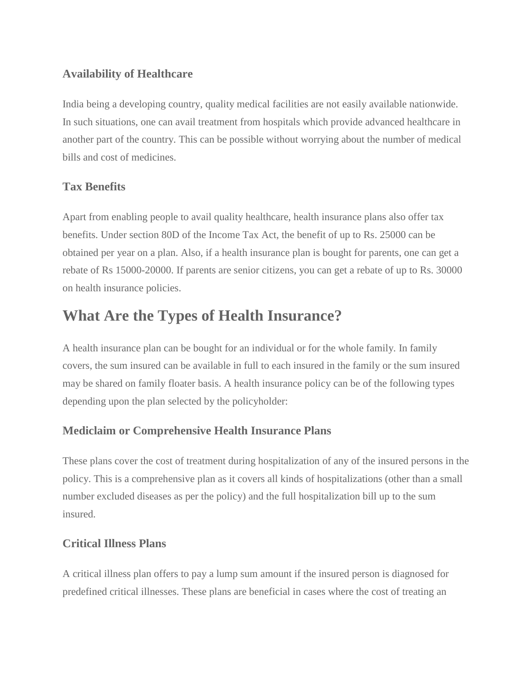### **Availability of Healthcare**

India being a developing country, quality medical facilities are not easily available nationwide. In such situations, one can avail treatment from hospitals which provide advanced healthcare in another part of the country. This can be possible without worrying about the number of medical bills and cost of medicines.

# **Tax Benefits**

Apart from enabling people to avail quality healthcare, health insurance plans also offer tax benefits. Under section 80D of the Income Tax Act, the benefit of up to Rs. 25000 can be obtained per year on a plan. Also, if a health insurance plan is bought for parents, one can get a rebate of Rs 15000-20000. If parents are senior citizens, you can get a rebate of up to Rs. 30000 on health insurance policies.

# **What Are the Types of Health Insurance?**

A health insurance plan can be bought for an individual or for the whole family. In family covers, the sum insured can be available in full to each insured in the family or the sum insured may be shared on family floater basis. A health insurance policy can be of the following types depending upon the plan selected by the policyholder:

# **Mediclaim or Comprehensive Health Insurance Plans**

These plans cover the cost of treatment during hospitalization of any of the insured persons in the policy. This is a comprehensive plan as it covers all kinds of hospitalizations (other than a small number excluded diseases as per the policy) and the full hospitalization bill up to the sum insured.

#### **Critical Illness Plans**

A critical illness plan offers to pay a lump sum amount if the insured person is diagnosed for predefined critical illnesses. These plans are beneficial in cases where the cost of treating an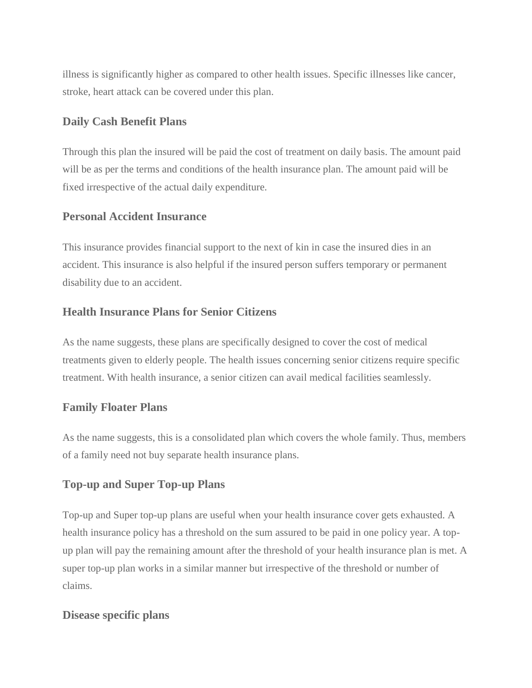illness is significantly higher as compared to other health issues. Specific illnesses like cancer, stroke, heart attack can be covered under this plan.

#### **Daily Cash Benefit Plans**

Through this plan the insured will be paid the cost of treatment on daily basis. The amount paid will be as per the terms and conditions of the health insurance plan. The amount paid will be fixed irrespective of the actual daily expenditure.

#### **Personal Accident Insurance**

This insurance provides financial support to the next of kin in case the insured dies in an accident. This insurance is also helpful if the insured person suffers temporary or permanent disability due to an accident.

### **Health Insurance Plans for Senior Citizens**

As the name suggests, these plans are specifically designed to cover the cost of medical treatments given to elderly people. The health issues concerning senior citizens require specific treatment. With health insurance, a senior citizen can avail medical facilities seamlessly.

#### **Family Floater Plans**

As the name suggests, this is a consolidated plan which covers the whole family. Thus, members of a family need not buy separate health insurance plans.

#### **Top-up and Super Top-up Plans**

Top-up and Super top-up plans are useful when your health insurance cover gets exhausted. A health insurance policy has a threshold on the sum assured to be paid in one policy year. A topup plan will pay the remaining amount after the threshold of your health insurance plan is met. A super top-up plan works in a similar manner but irrespective of the threshold or number of claims.

#### **Disease specific plans**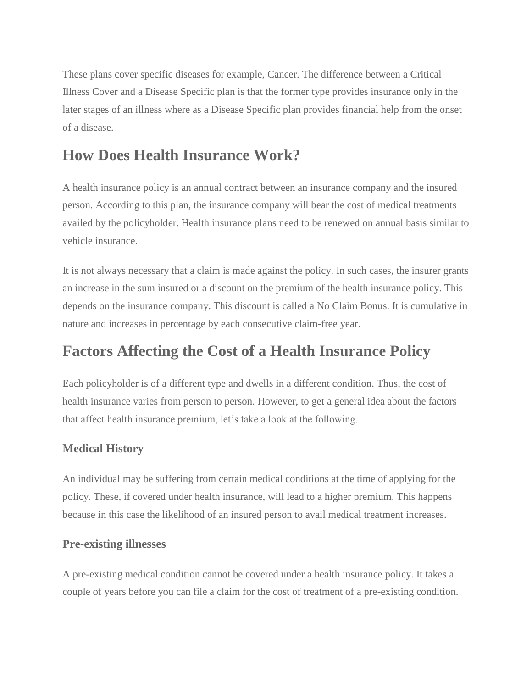These plans cover specific diseases for example, Cancer. The difference between a Critical Illness Cover and a Disease Specific plan is that the former type provides insurance only in the later stages of an illness where as a Disease Specific plan provides financial help from the onset of a disease.

# **How Does Health Insurance Work?**

A health insurance policy is an annual contract between an insurance company and the insured person. According to this plan, the insurance company will bear the cost of medical treatments availed by the policyholder. Health insurance plans need to be renewed on annual basis similar to vehicle insurance.

It is not always necessary that a claim is made against the policy. In such cases, the insurer grants an increase in the sum insured or a discount on the premium of the health insurance policy. This depends on the insurance company. This discount is called a No Claim Bonus. It is cumulative in nature and increases in percentage by each consecutive claim-free year.

# **Factors Affecting the Cost of a Health Insurance Policy**

Each policyholder is of a different type and dwells in a different condition. Thus, the cost of health insurance varies from person to person. However, to get a general idea about the factors that affect health insurance premium, let's take a look at the following.

# **Medical History**

An individual may be suffering from certain medical conditions at the time of applying for the policy. These, if covered under health insurance, will lead to a higher premium. This happens because in this case the likelihood of an insured person to avail medical treatment increases.

# **Pre-existing illnesses**

A pre-existing medical condition cannot be covered under a health insurance policy. It takes a couple of years before you can file a claim for the cost of treatment of a pre-existing condition.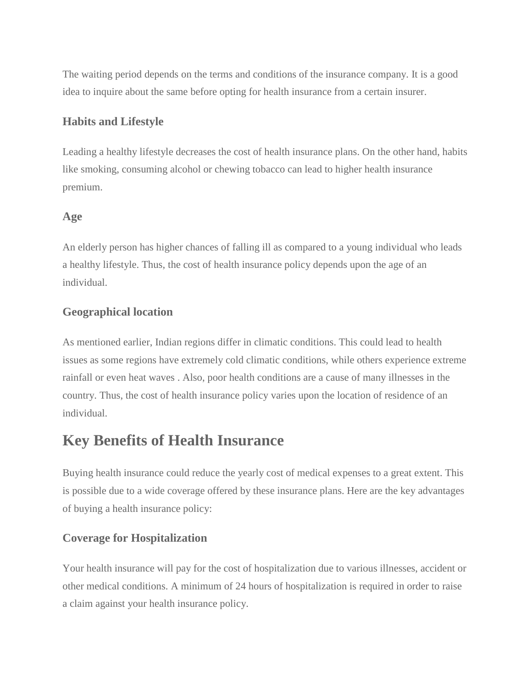The waiting period depends on the terms and conditions of the insurance company. It is a good idea to inquire about the same before opting for health insurance from a certain insurer.

#### **Habits and Lifestyle**

Leading a healthy lifestyle decreases the cost of health insurance plans. On the other hand, habits like smoking, consuming alcohol or chewing tobacco can lead to higher health insurance premium.

#### **Age**

An elderly person has higher chances of falling ill as compared to a young individual who leads a healthy lifestyle. Thus, the cost of health insurance policy depends upon the age of an individual.

# **Geographical location**

As mentioned earlier, Indian regions differ in climatic conditions. This could lead to health issues as some regions have extremely cold climatic conditions, while others experience extreme rainfall or even heat waves . Also, poor health conditions are a cause of many illnesses in the country. Thus, the cost of health insurance policy varies upon the location of residence of an individual.

# **Key Benefits of Health Insurance**

Buying health insurance could reduce the yearly cost of medical expenses to a great extent. This is possible due to a wide coverage offered by these insurance plans. Here are the key advantages of buying a health insurance policy:

# **Coverage for Hospitalization**

Your health insurance will pay for the cost of hospitalization due to various illnesses, accident or other medical conditions. A minimum of 24 hours of hospitalization is required in order to raise a claim against your health insurance policy.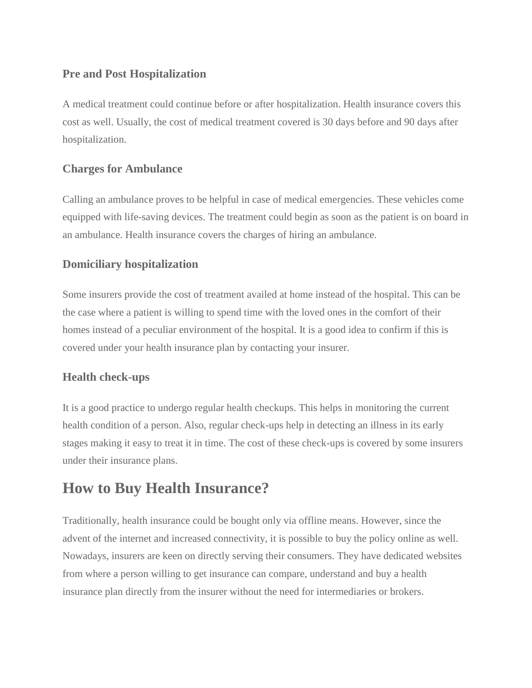### **Pre and Post Hospitalization**

A medical treatment could continue before or after hospitalization. Health insurance covers this cost as well. Usually, the cost of medical treatment covered is 30 days before and 90 days after hospitalization.

### **Charges for Ambulance**

Calling an ambulance proves to be helpful in case of medical emergencies. These vehicles come equipped with life-saving devices. The treatment could begin as soon as the patient is on board in an ambulance. Health insurance covers the charges of hiring an ambulance.

# **Domiciliary hospitalization**

Some insurers provide the cost of treatment availed at home instead of the hospital. This can be the case where a patient is willing to spend time with the loved ones in the comfort of their homes instead of a peculiar environment of the hospital. It is a good idea to confirm if this is covered under your health insurance plan by contacting your insurer.

# **Health check-ups**

It is a good practice to undergo regular health checkups. This helps in monitoring the current health condition of a person. Also, regular check-ups help in detecting an illness in its early stages making it easy to treat it in time. The cost of these check-ups is covered by some insurers under their insurance plans.

# **How to Buy Health Insurance?**

Traditionally, health insurance could be bought only via offline means. However, since the advent of the internet and increased connectivity, it is possible to buy the policy online as well. Nowadays, insurers are keen on directly serving their consumers. They have dedicated websites from where a person willing to get insurance can compare, understand and buy a health insurance plan directly from the insurer without the need for intermediaries or brokers.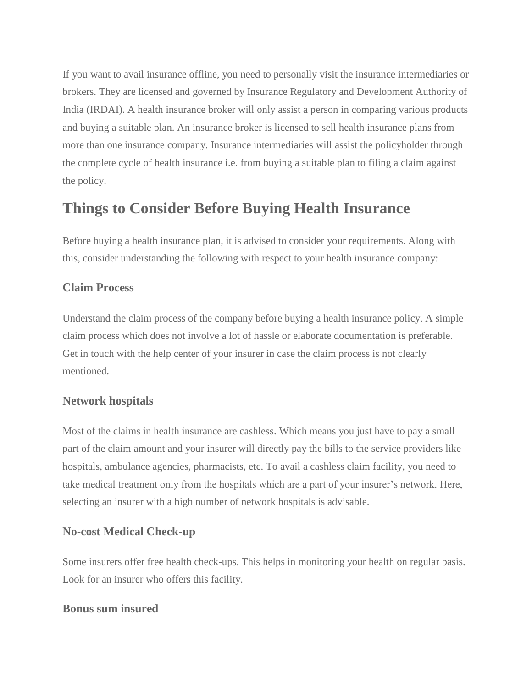If you want to avail insurance offline, you need to personally visit the insurance intermediaries or brokers. They are licensed and governed by Insurance Regulatory and Development Authority of India (IRDAI). A health insurance broker will only assist a person in comparing various products and buying a suitable plan. An insurance broker is licensed to sell health insurance plans from more than one insurance company. Insurance intermediaries will assist the policyholder through the complete cycle of health insurance i.e. from buying a suitable plan to filing a claim against the policy.

# **Things to Consider Before Buying Health Insurance**

Before buying a health insurance plan, it is advised to consider your requirements. Along with this, consider understanding the following with respect to your health insurance company:

#### **Claim Process**

Understand the claim process of the company before buying a health insurance policy. A simple claim process which does not involve a lot of hassle or elaborate documentation is preferable. Get in touch with the help center of your insurer in case the claim process is not clearly mentioned.

#### **Network hospitals**

Most of the claims in health insurance are cashless. Which means you just have to pay a small part of the claim amount and your insurer will directly pay the bills to the service providers like hospitals, ambulance agencies, pharmacists, etc. To avail a cashless claim facility, you need to take medical treatment only from the hospitals which are a part of your insurer's network. Here, selecting an insurer with a high number of network hospitals is advisable.

#### **No-cost Medical Check-up**

Some insurers offer free health check-ups. This helps in monitoring your health on regular basis. Look for an insurer who offers this facility.

#### **Bonus sum insured**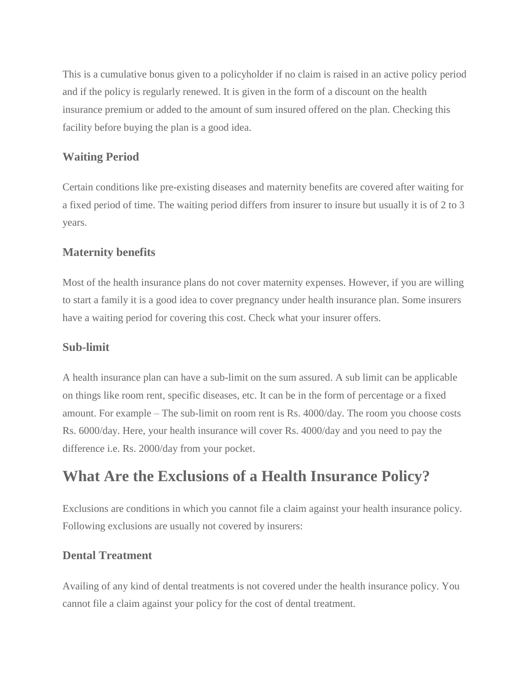This is a cumulative bonus given to a policyholder if no claim is raised in an active policy period and if the policy is regularly renewed. It is given in the form of a discount on the health insurance premium or added to the amount of sum insured offered on the plan. Checking this facility before buying the plan is a good idea.

### **Waiting Period**

Certain conditions like pre-existing diseases and maternity benefits are covered after waiting for a fixed period of time. The waiting period differs from insurer to insure but usually it is of 2 to 3 years.

### **Maternity benefits**

Most of the health insurance plans do not cover maternity expenses. However, if you are willing to start a family it is a good idea to cover pregnancy under health insurance plan. Some insurers have a waiting period for covering this cost. Check what your insurer offers.

#### **Sub-limit**

A health insurance plan can have a sub-limit on the sum assured. A sub limit can be applicable on things like room rent, specific diseases, etc. It can be in the form of percentage or a fixed amount. For example – The sub-limit on room rent is Rs. 4000/day. The room you choose costs Rs. 6000/day. Here, your health insurance will cover Rs. 4000/day and you need to pay the difference i.e. Rs. 2000/day from your pocket.

# **What Are the Exclusions of a Health Insurance Policy?**

Exclusions are conditions in which you cannot file a claim against your health insurance policy. Following exclusions are usually not covered by insurers:

# **Dental Treatment**

Availing of any kind of dental treatments is not covered under the health insurance policy. You cannot file a claim against your policy for the cost of dental treatment.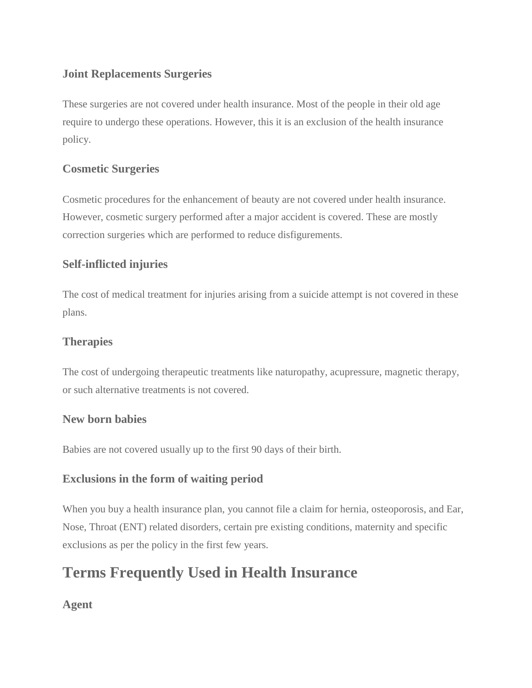# **Joint Replacements Surgeries**

These surgeries are not covered under health insurance. Most of the people in their old age require to undergo these operations. However, this it is an exclusion of the health insurance policy.

# **Cosmetic Surgeries**

Cosmetic procedures for the enhancement of beauty are not covered under health insurance. However, cosmetic surgery performed after a major accident is covered. These are mostly correction surgeries which are performed to reduce disfigurements.

# **Self-inflicted injuries**

The cost of medical treatment for injuries arising from a suicide attempt is not covered in these plans.

# **Therapies**

The cost of undergoing therapeutic treatments like naturopathy, acupressure, magnetic therapy, or such alternative treatments is not covered.

#### **New born babies**

Babies are not covered usually up to the first 90 days of their birth.

# **Exclusions in the form of waiting period**

When you buy a health insurance plan, you cannot file a claim for hernia, osteoporosis, and Ear, Nose, Throat (ENT) related disorders, certain pre existing conditions, maternity and specific exclusions as per the policy in the first few years.

# **Terms Frequently Used in Health Insurance**

# **Agent**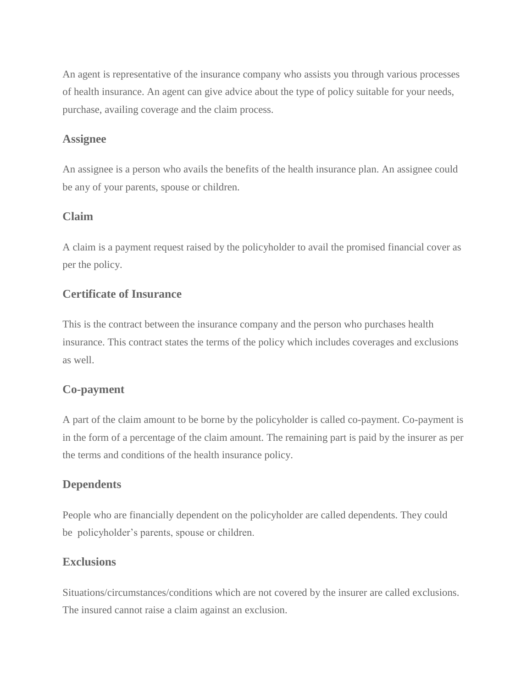An agent is representative of the insurance company who assists you through various processes of health insurance. An agent can give advice about the type of policy suitable for your needs, purchase, availing coverage and the claim process.

#### **Assignee**

An assignee is a person who avails the benefits of the health insurance plan. An assignee could be any of your parents, spouse or children.

#### **Claim**

A claim is a payment request raised by the policyholder to avail the promised financial cover as per the policy.

#### **Certificate of Insurance**

This is the contract between the insurance company and the person who purchases health insurance. This contract states the terms of the policy which includes coverages and exclusions as well.

#### **Co-payment**

A part of the claim amount to be borne by the policyholder is called co-payment. Co-payment is in the form of a percentage of the claim amount. The remaining part is paid by the insurer as per the terms and conditions of the health insurance policy.

#### **Dependents**

People who are financially dependent on the policyholder are called dependents. They could be policyholder's parents, spouse or children.

#### **Exclusions**

Situations/circumstances/conditions which are not covered by the insurer are called exclusions. The insured cannot raise a claim against an exclusion.